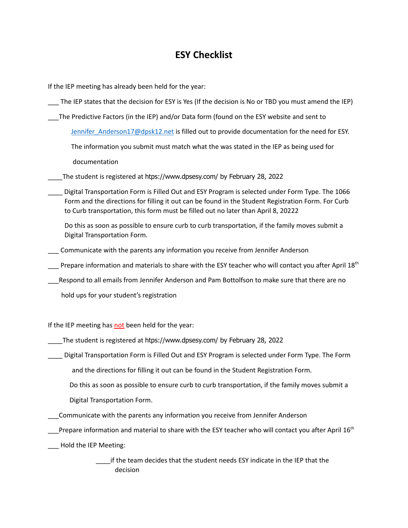## **ESY Checklist**

If the IEP meeting has already been held for the year:

- \_\_\_ The IEP states that the decision for ESY is Yes (If the decision is No or TBD you must amend the IEP)
- \_\_\_The Predictive Factors (in the IEP) and/or Data form (found on the ESY website and sent to

[Jennifer\\_Anderson17@dpsk12.net](mailto:Jennifer_Anderson3@dpsk12.org) is filled out to provide documentation for the need for ESY.

The information you submit must match what the was stated in the IEP as being used for

documentation

\_\_\_\_The student is registered at htps://www.dpsesy.com/ by February 28, 2022

\_\_\_\_ Digital Transportation Form is Filled Out and ESY Program is selected under Form Type. The 1066 Form and the directions for filling it out can be found in the Student Registration Form. For Curb to Curb transportation, this form must be filled out no later than April 8, 20222

Do this as soon as possible to ensure curb to curb transportation, if the family moves submit a Digital Transportation Form.

\_\_\_ Communicate with the parents any information you receive from Jennifer Anderson

 $\_\_\_\$ Prepare information and materials to share with the ESY teacher who will contact you after April 18<sup>th</sup>

\_\_\_Respond to all emails from Jennifer Anderson and Pam Bottolfson to make sure that there are no

hold ups for your student's registration

If the IEP meeting has not been held for the year:

\_\_\_\_The student is registered at htps://www.dpsesy.com/ by February 28, 2022

\_\_\_\_ Digital Transportation Form is Filled Out and ESY Program is selected under Form Type. The Form

and the directions for filling it out can be found in the Student Registration Form.

Do this as soon as possible to ensure curb to curb transportation, if the family moves submit a

Digital Transportation Form.

\_\_\_Communicate with the parents any information you receive from Jennifer Anderson

 $\_\_\_\$ Prepare information and material to share with the ESY teacher who will contact you after April 16<sup>th</sup>

Hold the IEP Meeting:

\_\_\_\_if the team decides that the student needs ESY indicate in the IEP that the decision